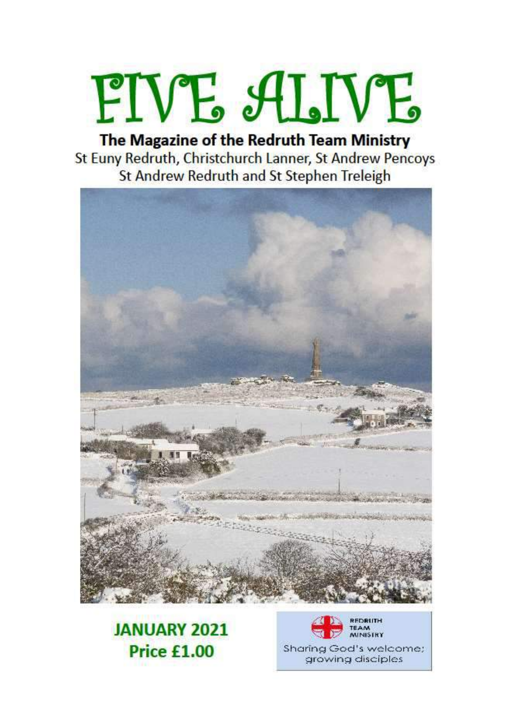# FIVE ALIVE

The Magazine of the Redruth Team Ministry St Euny Redruth, Christchurch Lanner, St Andrew Pencoys St Andrew Redruth and St Stephen Treleigh



### **JANUARY 2021 Price £1.00**



growing disciples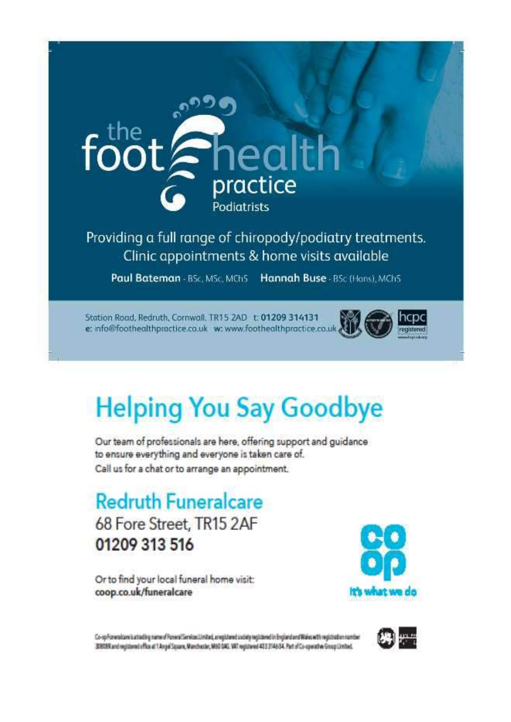

Clinic appointments & home visits available

Paul Bateman - BSc, MSc, MChS Hannah Buse - BSc (Hans), MChS

Station Road, Redruth, Cornwall, TR15 2AD t: 01209 314131 e: info@foothealthpractice.co.uk w: www.foothealthpractice.co.uk



## **Helping You Say Goodbye**

Our team of professionals are here, offering support and guidance to ensure everything and everyone is taken care of. Call us for a chat or to arrange an appointment.

**Redruth Funeralcare** 68 Fore Street, TR15 2AF 01209 313 516

Or to find your local funeral home visit: coop.co.uk/funeralcare



Co-opPizneralcare is a trading name of Panemi Services Limited, a registered society registered in England and Wales with registration number 3000Rand registered office at 1 Angel Square, Manchester, M60 DAG, VAT registered 433 3146 D4. Part of Co-operative Group Limited.

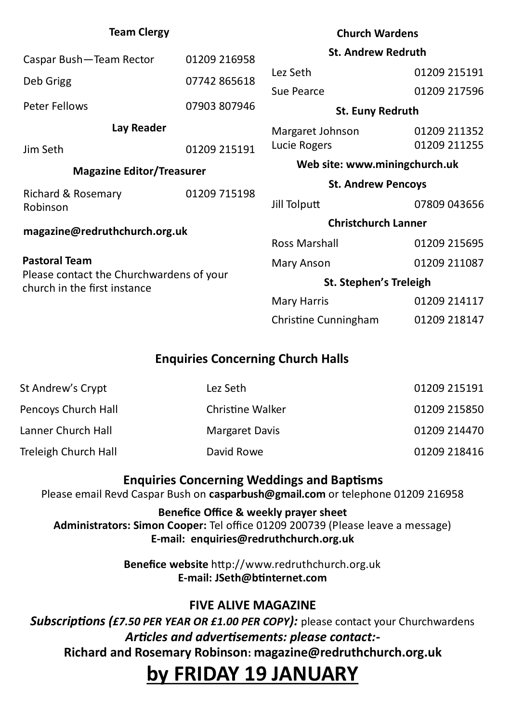| <b>Team Clergy</b>                                                       |              | <b>Church Wardens</b>         |              |
|--------------------------------------------------------------------------|--------------|-------------------------------|--------------|
| Caspar Bush-Team Rector                                                  | 01209 216958 | <b>St. Andrew Redruth</b>     |              |
|                                                                          |              | Lez Seth                      | 01209 215191 |
| Deb Grigg                                                                | 07742 865618 | Sue Pearce                    | 01209 217596 |
| <b>Peter Fellows</b>                                                     | 07903 807946 | <b>St. Euny Redruth</b>       |              |
| Lay Reader                                                               |              | Margaret Johnson              | 01209 211352 |
| Jim Seth                                                                 | 01209 215191 | Lucie Rogers                  | 01209 211255 |
| <b>Magazine Editor/Treasurer</b>                                         |              | Web site: www.miningchurch.uk |              |
|                                                                          |              | <b>St. Andrew Pencoys</b>     |              |
| Richard & Rosemary<br>Robinson                                           | 01209 715198 | Jill Tolputt                  | 07809 043656 |
| magazine@redruthchurch.org.uk                                            |              | <b>Christchurch Lanner</b>    |              |
|                                                                          |              | <b>Ross Marshall</b>          | 01209 215695 |
| <b>Pastoral Team</b>                                                     |              | <b>Mary Anson</b>             | 01209 211087 |
| Please contact the Churchwardens of your<br>church in the first instance |              | <b>St. Stephen's Treleigh</b> |              |
|                                                                          |              | <b>Mary Harris</b>            | 01209 214117 |
|                                                                          |              | Christine Cunningham          | 01209 218147 |

#### **Enquiries Concerning Church Halls**

| St Andrew's Crypt    | Lez Seth                | 01209 215191 |
|----------------------|-------------------------|--------------|
| Pencoys Church Hall  | <b>Christine Walker</b> | 01209 215850 |
| Lanner Church Hall   | <b>Margaret Davis</b>   | 01209 214470 |
| Treleigh Church Hall | David Rowe              | 01209 218416 |

#### **Enquiries Concerning Weddings and Baptisms**

Please email Revd Caspar Bush on **casparbush@gmail.com** or telephone 01209 216958

**Benefice Office & weekly prayer sheet Administrators: Simon Cooper:** Tel office 01209 200739 (Please leave a message) **E-mail: enquiries@redruthchurch.org.uk**

> **Benefice website** http://www.redruthchurch.org.uk **E-mail: JSeth@btinternet.com**

#### **FIVE ALIVE MAGAZINE**

*Subscriptions (£7.50 PER YEAR OR £1.00 PER COPY):* please contact your Churchwardens *Articles and advertisements: please contact:-* **Richard and Rosemary Robinson: magazine@redruthchurch.org.uk**

## **by FRIDAY 19 JANUARY**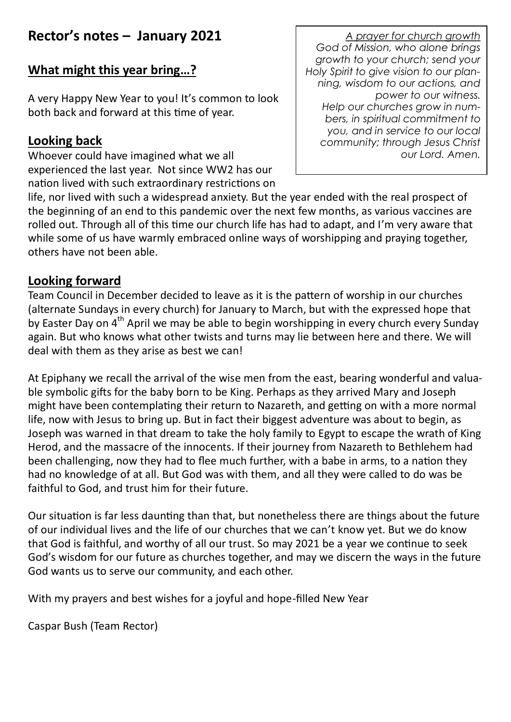#### **Rector's notes – January 2021**

#### **What might this year bring…?**

A very Happy New Year to you! It's common to look both back and forward at this time of year.

#### **Looking back**

Whoever could have imagined what we all experienced the last year. Not since WW2 has our nation lived with such extraordinary restrictions on

*A prayer for church growth God of Mission, who alone brings growth to your church; send your Holy Spirit to give vision to our planning, wisdom to our actions, and power to our witness. Help our churches grow in numbers, in spiritual commitment to you, and in service to our local community; through Jesus Christ our Lord. Amen.* 

life, nor lived with such a widespread anxiety. But the year ended with the real prospect of the beginning of an end to this pandemic over the next few months, as various vaccines are rolled out. Through all of this time our church life has had to adapt, and I'm very aware that while some of us have warmly embraced online ways of worshipping and praying together, others have not been able.

#### **Looking forward**

Team Council in December decided to leave as it is the pattern of worship in our churches (alternate Sundays in every church) for January to March, but with the expressed hope that by Easter Day on 4<sup>th</sup> April we may be able to begin worshipping in every church every Sunday again. But who knows what other twists and turns may lie between here and there. We will deal with them as they arise as best we can!

At Epiphany we recall the arrival of the wise men from the east, bearing wonderful and valuable symbolic gifts for the baby born to be King. Perhaps as they arrived Mary and Joseph might have been contemplating their return to Nazareth, and getting on with a more normal life, now with Jesus to bring up. But in fact their biggest adventure was about to begin, as Joseph was warned in that dream to take the holy family to Egypt to escape the wrath of King Herod, and the massacre of the innocents. If their journey from Nazareth to Bethlehem had been challenging, now they had to flee much further, with a babe in arms, to a nation they had no knowledge of at all. But God was with them, and all they were called to do was be faithful to God, and trust him for their future.

Our situation is far less daunting than that, but nonetheless there are things about the future of our individual lives and the life of our churches that we can't know yet. But we do know that God is faithful, and worthy of all our trust. So may 2021 be a year we continue to seek God's wisdom for our future as churches together, and may we discern the ways in the future God wants us to serve our community, and each other.

With my prayers and best wishes for a joyful and hope-filled New Year

Caspar Bush (Team Rector)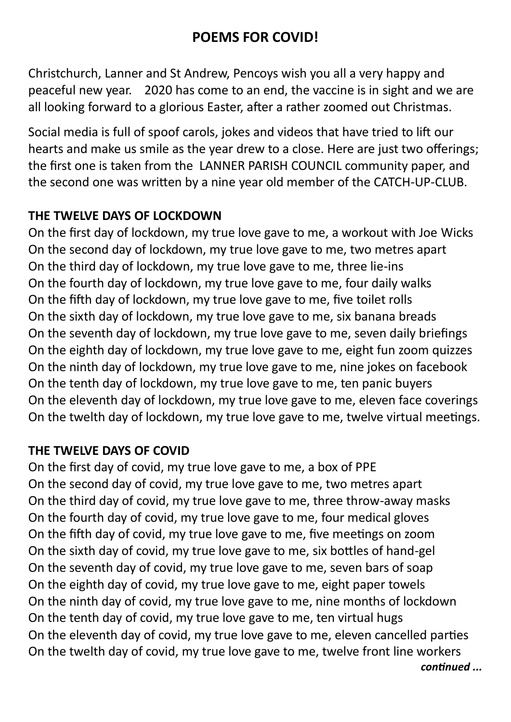#### **POEMS FOR COVID!**

Christchurch, Lanner and St Andrew, Pencoys wish you all a very happy and peaceful new year. 2020 has come to an end, the vaccine is in sight and we are all looking forward to a glorious Easter, after a rather zoomed out Christmas.

Social media is full of spoof carols, jokes and videos that have tried to lift our hearts and make us smile as the year drew to a close. Here are just two offerings; the first one is taken from the LANNER PARISH COUNCIL community paper, and the second one was written by a nine year old member of the CATCH-UP-CLUB.

#### **THE TWELVE DAYS OF LOCKDOWN**

On the first day of lockdown, my true love gave to me, a workout with Joe Wicks On the second day of lockdown, my true love gave to me, two metres apart On the third day of lockdown, my true love gave to me, three lie-ins On the fourth day of lockdown, my true love gave to me, four daily walks On the fifth day of lockdown, my true love gave to me, five toilet rolls On the sixth day of lockdown, my true love gave to me, six banana breads On the seventh day of lockdown, my true love gave to me, seven daily briefings On the eighth day of lockdown, my true love gave to me, eight fun zoom quizzes On the ninth day of lockdown, my true love gave to me, nine jokes on facebook On the tenth day of lockdown, my true love gave to me, ten panic buyers On the eleventh day of lockdown, my true love gave to me, eleven face coverings On the twelth day of lockdown, my true love gave to me, twelve virtual meetings.

#### **THE TWELVE DAYS OF COVID**

On the first day of covid, my true love gave to me, a box of PPE On the second day of covid, my true love gave to me, two metres apart On the third day of covid, my true love gave to me, three throw-away masks On the fourth day of covid, my true love gave to me, four medical gloves On the fifth day of covid, my true love gave to me, five meetings on zoom On the sixth day of covid, my true love gave to me, six bottles of hand-gel On the seventh day of covid, my true love gave to me, seven bars of soap On the eighth day of covid, my true love gave to me, eight paper towels On the ninth day of covid, my true love gave to me, nine months of lockdown On the tenth day of covid, my true love gave to me, ten virtual hugs On the eleventh day of covid, my true love gave to me, eleven cancelled parties On the twelth day of covid, my true love gave to me, twelve front line workers *continued ...*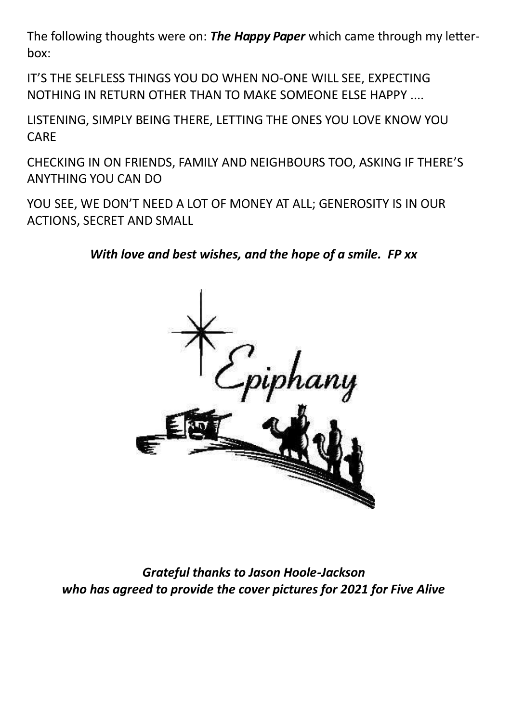The following thoughts were on: *The Happy Paper* which came through my letterbox:

IT'S THE SELFLESS THINGS YOU DO WHEN NO-ONE WILL SEE, EXPECTING NOTHING IN RETURN OTHER THAN TO MAKE SOMEONE ELSE HAPPY ....

LISTENING, SIMPLY BEING THERE, LETTING THE ONES YOU LOVE KNOW YOU CARE

CHECKING IN ON FRIENDS, FAMILY AND NEIGHBOURS TOO, ASKING IF THERE'S ANYTHING YOU CAN DO

YOU SEE, WE DON'T NEED A LOT OF MONEY AT ALL; GENEROSITY IS IN OUR ACTIONS, SECRET AND SMALL

*With love and best wishes, and the hope of a smile. FP xx*



*Grateful thanks to Jason Hoole-Jackson who has agreed to provide the cover pictures for 2021 for Five Alive*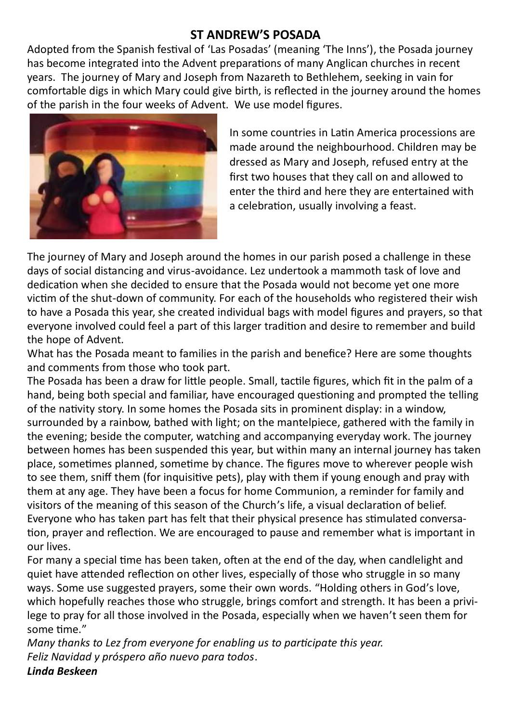#### **ST ANDREW'S POSADA**

Adopted from the Spanish festival of 'Las Posadas' (meaning 'The Inns'), the Posada journey has become integrated into the Advent preparations of many Anglican churches in recent years. The journey of Mary and Joseph from Nazareth to Bethlehem, seeking in vain for comfortable digs in which Mary could give birth, is reflected in the journey around the homes of the parish in the four weeks of Advent. We use model figures.



In some countries in Latin America processions are made around the neighbourhood. Children may be dressed as Mary and Joseph, refused entry at the first two houses that they call on and allowed to enter the third and here they are entertained with a celebration, usually involving a feast.

The journey of Mary and Joseph around the homes in our parish posed a challenge in these days of social distancing and virus-avoidance. Lez undertook a mammoth task of love and dedication when she decided to ensure that the Posada would not become yet one more victim of the shut-down of community. For each of the households who registered their wish to have a Posada this year, she created individual bags with model figures and prayers, so that everyone involved could feel a part of this larger tradition and desire to remember and build the hope of Advent.

What has the Posada meant to families in the parish and benefice? Here are some thoughts and comments from those who took part.

The Posada has been a draw for little people. Small, tactile figures, which fit in the palm of a hand, being both special and familiar, have encouraged questioning and prompted the telling of the nativity story. In some homes the Posada sits in prominent display: in a window, surrounded by a rainbow, bathed with light; on the mantelpiece, gathered with the family in the evening; beside the computer, watching and accompanying everyday work. The journey between homes has been suspended this year, but within many an internal journey has taken place, sometimes planned, sometime by chance. The figures move to wherever people wish to see them, sniff them (for inquisitive pets), play with them if young enough and pray with them at any age. They have been a focus for home Communion, a reminder for family and visitors of the meaning of this season of the Church's life, a visual declaration of belief. Everyone who has taken part has felt that their physical presence has stimulated conversation, prayer and reflection. We are encouraged to pause and remember what is important in our lives.

For many a special time has been taken, often at the end of the day, when candlelight and quiet have attended reflection on other lives, especially of those who struggle in so many ways. Some use suggested prayers, some their own words. "Holding others in God's love, which hopefully reaches those who struggle, brings comfort and strength. It has been a privilege to pray for all those involved in the Posada, especially when we haven't seen them for some time."

*Many thanks to Lez from everyone for enabling us to participate this year. Feliz Navidad y próspero año nuevo para todos*. *Linda Beskeen*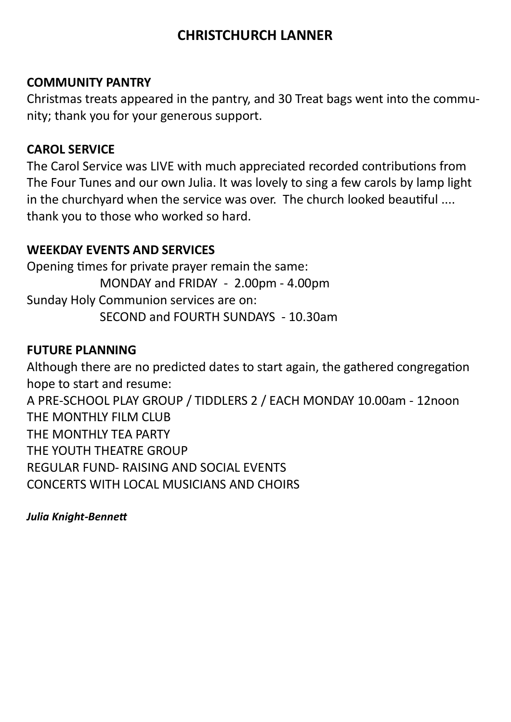#### **CHRISTCHURCH LANNER**

#### **COMMUNITY PANTRY**

Christmas treats appeared in the pantry, and 30 Treat bags went into the community; thank you for your generous support.

#### **CAROL SERVICE**

The Carol Service was LIVE with much appreciated recorded contributions from The Four Tunes and our own Julia. It was lovely to sing a few carols by lamp light in the churchyard when the service was over. The church looked beautiful .... thank you to those who worked so hard.

#### **WEEKDAY EVENTS AND SERVICES**

Opening times for private prayer remain the same: MONDAY and FRIDAY - 2.00pm - 4.00pm Sunday Holy Communion services are on: SECOND and FOURTH SUNDAYS - 10.30am

#### **FUTURE PLANNING**

Although there are no predicted dates to start again, the gathered congregation hope to start and resume: A PRE-SCHOOL PLAY GROUP / TIDDLERS 2 / EACH MONDAY 10.00am - 12noon THE MONTHLY FILM CLUB THE MONTHLY TEA PARTY THE YOUTH THEATRE GROUP REGULAR FUND- RAISING AND SOCIAL EVENTS CONCERTS WITH LOCAL MUSICIANS AND CHOIRS

*Julia Knight-Bennett*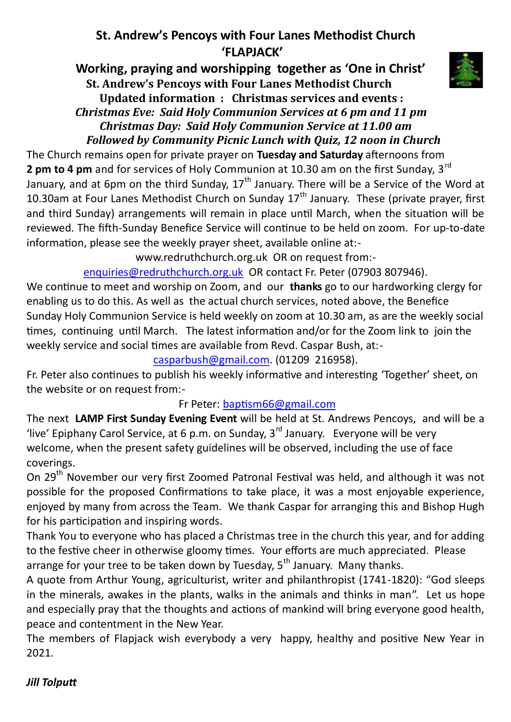#### **St. Andrew's Pencoys with Four Lanes Methodist Church 'FLAPJACK'**

 **Working, praying and worshipping together as 'One in Christ' St. Andrew's Pencoys with Four Lanes Methodist Church Updated information : Christmas services and events :**  *Christmas Eve: Said Holy Communion Services at 6 pm and 11 pm Christmas Day: Said Holy Communion Service at 11.00 am Followed by Community Picnic Lunch with Quiz, 12 noon in Church*

The Church remains open for private prayer on **Tuesday and Saturday** afternoons from **2 pm to 4 pm** and for services of Holy Communion at 10.30 am on the first Sunday, 3<sup>rd</sup> January, and at 6pm on the third Sunday,  $17<sup>th</sup>$  January. There will be a Service of the Word at 10.30am at Four Lanes Methodist Church on Sunday  $17<sup>th</sup>$  January. These (private prayer, first and third Sunday) arrangements will remain in place until March, when the situation will be reviewed. The fifth-Sunday Benefice Service will continue to be held on zoom. For up-to-date information, please see the weekly prayer sheet, available online at:-

www.redruthchurch.org.uk OR on request from:-

[enquiries@redruthchurch.org.uk](mailto:enquiries@redruthchurch.org.uk) OR contact Fr. Peter (07903 807946).

We continue to meet and worship on Zoom, and our **thanks** go to our hardworking clergy for enabling us to do this. As well as the actual church services, noted above, the Benefice Sunday Holy Communion Service is held weekly on zoom at 10.30 am, as are the weekly social times, continuing until March. The latest information and/or for the Zoom link to join the weekly service and social times are available from Revd. Caspar Bush, at:-

[casparbush@gmail.com.](mailto:casparbush@gmail.com) (01209 216958).

Fr. Peter also continues to publish his weekly informative and interesting 'Together' sheet, on the website or on request from:-

#### Fr Peter: [baptism66@gmail.com](mailto:baptism66@gmail.com)

The next **LAMP First Sunday Evening Event** will be held at St. Andrews Pencoys, and will be a 'live' Epiphany Carol Service, at 6 p.m. on Sunday,  $3^{rd}$  January. Everyone will be very welcome, when the present safety guidelines will be observed, including the use of face coverings.

On 29<sup>th</sup> November our very first Zoomed Patronal Festival was held, and although it was not possible for the proposed Confirmations to take place, it was a most enjoyable experience, enjoyed by many from across the Team. We thank Caspar for arranging this and Bishop Hugh for his participation and inspiring words.

Thank You to everyone who has placed a Christmas tree in the church this year, and for adding to the festive cheer in otherwise gloomy times. Your efforts are much appreciated. Please arrange for your tree to be taken down by Tuesday,  $5<sup>th</sup>$  January. Many thanks.

A quote from Arthur Young, agriculturist, writer and philanthropist (1741-1820): "God sleeps in the minerals, awakes in the plants, walks in the animals and thinks in man". Let us hope and especially pray that the thoughts and actions of mankind will bring everyone good health, peace and contentment in the New Year.

The members of Flapjack wish everybody a very happy, healthy and positive New Year in 2021.

#### *Jill Tolputt*

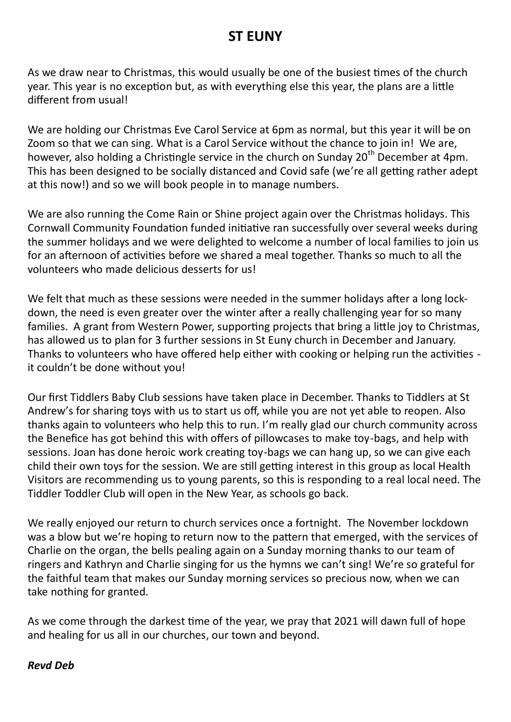#### **ST EUNY**

As we draw near to Christmas, this would usually be one of the busiest times of the church year. This year is no exception but, as with everything else this year, the plans are a little different from usual!

We are holding our Christmas Eve Carol Service at 6pm as normal, but this year it will be on Zoom so that we can sing. What is a Carol Service without the chance to join in! We are, however, also holding a Christingle service in the church on Sunday 20<sup>th</sup> December at 4pm. This has been designed to be socially distanced and Covid safe (we're all getting rather adept at this now!) and so we will book people in to manage numbers.

We are also running the Come Rain or Shine project again over the Christmas holidays. This Cornwall Community Foundation funded initiative ran successfully over several weeks during the summer holidays and we were delighted to welcome a number of local families to join us for an afternoon of activities before we shared a meal together. Thanks so much to all the volunteers who made delicious desserts for us!

We felt that much as these sessions were needed in the summer holidays after a long lockdown, the need is even greater over the winter after a really challenging year for so many families. A grant from Western Power, supporting projects that bring a little joy to Christmas, has allowed us to plan for 3 further sessions in St Euny church in December and January. Thanks to volunteers who have offered help either with cooking or helping run the activities it couldn't be done without you!

Our first Tiddlers Baby Club sessions have taken place in December. Thanks to Tiddlers at St Andrew's for sharing toys with us to start us off, while you are not yet able to reopen. Also thanks again to volunteers who help this to run. I'm really glad our church community across the Benefice has got behind this with offers of pillowcases to make toy-bags, and help with sessions. Joan has done heroic work creating toy-bags we can hang up, so we can give each child their own toys for the session. We are still getting interest in this group as local Health Visitors are recommending us to young parents, so this is responding to a real local need. The Tiddler Toddler Club will open in the New Year, as schools go back.

We really enjoyed our return to church services once a fortnight. The November lockdown was a blow but we're hoping to return now to the pattern that emerged, with the services of Charlie on the organ, the bells pealing again on a Sunday morning thanks to our team of ringers and Kathryn and Charlie singing for us the hymns we can't sing! We're so grateful for the faithful team that makes our Sunday morning services so precious now, when we can take nothing for granted.

As we come through the darkest time of the year, we pray that 2021 will dawn full of hope and healing for us all in our churches, our town and beyond.

#### *Revd Deb*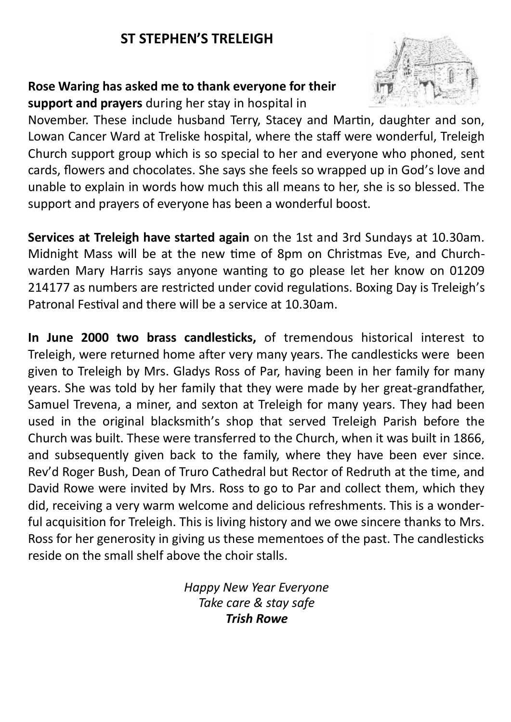#### **ST STEPHEN'S TRELEIGH**

#### **Rose Waring has asked me to thank everyone for their support and prayers** during her stay in hospital in



November. These include husband Terry, Stacey and Martin, daughter and son, Lowan Cancer Ward at Treliske hospital, where the staff were wonderful, Treleigh Church support group which is so special to her and everyone who phoned, sent cards, flowers and chocolates. She says she feels so wrapped up in God's love and unable to explain in words how much this all means to her, she is so blessed. The support and prayers of everyone has been a wonderful boost.

**Services at Treleigh have started again** on the 1st and 3rd Sundays at 10.30am. Midnight Mass will be at the new time of 8pm on Christmas Eve, and Churchwarden Mary Harris says anyone wanting to go please let her know on 01209 214177 as numbers are restricted under covid regulations. Boxing Day is Treleigh's Patronal Festival and there will be a service at 10.30am.

**In June 2000 two brass candlesticks,** of tremendous historical interest to Treleigh, were returned home after very many years. The candlesticks were been given to Treleigh by Mrs. Gladys Ross of Par, having been in her family for many years. She was told by her family that they were made by her great-grandfather, Samuel Trevena, a miner, and sexton at Treleigh for many years. They had been used in the original blacksmith's shop that served Treleigh Parish before the Church was built. These were transferred to the Church, when it was built in 1866, and subsequently given back to the family, where they have been ever since. Rev'd Roger Bush, Dean of Truro Cathedral but Rector of Redruth at the time, and David Rowe were invited by Mrs. Ross to go to Par and collect them, which they did, receiving a very warm welcome and delicious refreshments. This is a wonderful acquisition for Treleigh. This is living history and we owe sincere thanks to Mrs. Ross for her generosity in giving us these mementoes of the past. The candlesticks reside on the small shelf above the choir stalls.

> *Happy New Year Everyone Take care & stay safe Trish Rowe*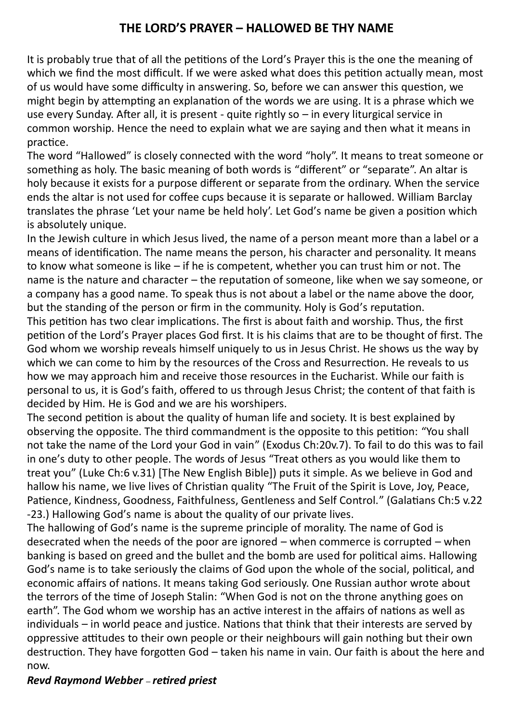#### **THE LORD'S PRAYER – HALLOWED BE THY NAME**

It is probably true that of all the petitions of the Lord's Prayer this is the one the meaning of which we find the most difficult. If we were asked what does this petition actually mean, most of us would have some difficulty in answering. So, before we can answer this question, we might begin by attempting an explanation of the words we are using. It is a phrase which we use every Sunday. After all, it is present - quite rightly so – in every liturgical service in common worship. Hence the need to explain what we are saying and then what it means in practice.

The word "Hallowed" is closely connected with the word "holy". It means to treat someone or something as holy. The basic meaning of both words is "different" or "separate". An altar is holy because it exists for a purpose different or separate from the ordinary. When the service ends the altar is not used for coffee cups because it is separate or hallowed. William Barclay translates the phrase 'Let your name be held holy'. Let God's name be given a position which is absolutely unique.

In the Jewish culture in which Jesus lived, the name of a person meant more than a label or a means of identification. The name means the person, his character and personality. It means to know what someone is like – if he is competent, whether you can trust him or not. The name is the nature and character – the reputation of someone, like when we say someone, or a company has a good name. To speak thus is not about a label or the name above the door, but the standing of the person or firm in the community. Holy is God's reputation.

This petition has two clear implications. The first is about faith and worship. Thus, the first petition of the Lord's Prayer places God first. It is his claims that are to be thought of first. The God whom we worship reveals himself uniquely to us in Jesus Christ. He shows us the way by which we can come to him by the resources of the Cross and Resurrection. He reveals to us how we may approach him and receive those resources in the Eucharist. While our faith is personal to us, it is God's faith, offered to us through Jesus Christ; the content of that faith is decided by Him. He is God and we are his worshipers.

The second petition is about the quality of human life and society. It is best explained by observing the opposite. The third commandment is the opposite to this petition: "You shall not take the name of the Lord your God in vain" (Exodus Ch:20v.7). To fail to do this was to fail in one's duty to other people. The words of Jesus "Treat others as you would like them to treat you" (Luke Ch:6 v.31) [The New English Bible]) puts it simple. As we believe in God and hallow his name, we live lives of Christian quality "The Fruit of the Spirit is Love, Joy, Peace, Patience, Kindness, Goodness, Faithfulness, Gentleness and Self Control." (Galatians Ch:5 v.22 -23.) Hallowing God's name is about the quality of our private lives.

The hallowing of God's name is the supreme principle of morality. The name of God is desecrated when the needs of the poor are ignored – when commerce is corrupted – when banking is based on greed and the bullet and the bomb are used for political aims. Hallowing God's name is to take seriously the claims of God upon the whole of the social, political, and economic affairs of nations. It means taking God seriously. One Russian author wrote about the terrors of the time of Joseph Stalin: "When God is not on the throne anything goes on earth". The God whom we worship has an active interest in the affairs of nations as well as individuals – in world peace and justice. Nations that think that their interests are served by oppressive attitudes to their own people or their neighbours will gain nothing but their own destruction. They have forgotten God – taken his name in vain. Our faith is about the here and now.

#### *Revd Raymond Webber – retired priest*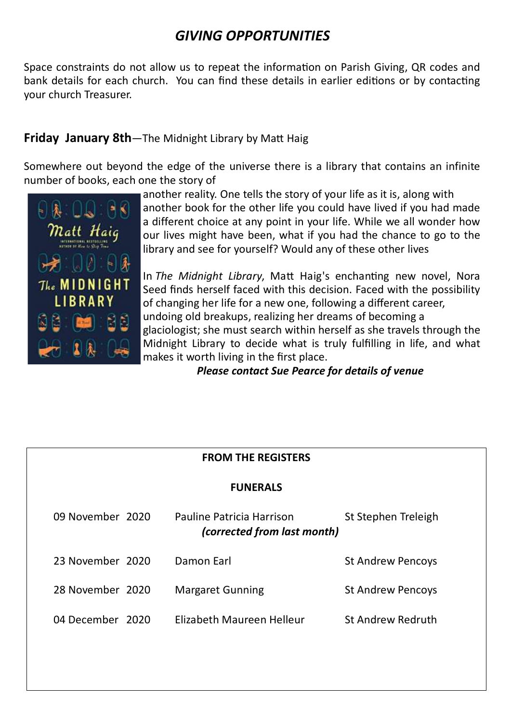#### *GIVING OPPORTUNITIES*

Space constraints do not allow us to repeat the information on Parish Giving, QR codes and bank details for each church. You can find these details in earlier editions or by contacting your church Treasurer.

#### **Friday January 8th**—The Midnight Library by Matt Haig

Somewhere out beyond the edge of the universe there is a library that contains an infinite number of books, each one the story of



another reality. One tells the story of your life as it is, along with another book for the other life you could have lived if you had made a different choice at any point in your life. While we all wonder how our lives might have been, what if you had the chance to go to the library and see for yourself? Would any of these other lives

In *The Midnight Library*, Matt Haig's enchanting new novel, Nora Seed finds herself faced with this decision. Faced with the possibility of changing her life for a new one, following a different career, undoing old breakups, realizing her dreams of becoming a glaciologist; she must search within herself as she travels through the Midnight Library to decide what is truly fulfilling in life, and what makes it worth living in the first place.

*Please contact Sue Pearce for details of venue*

| <b>FROM THE REGISTERS</b> |  |                                                          |                          |  |  |  |
|---------------------------|--|----------------------------------------------------------|--------------------------|--|--|--|
| <b>FUNERALS</b>           |  |                                                          |                          |  |  |  |
| 09 November 2020          |  | Pauline Patricia Harrison<br>(corrected from last month) | St Stephen Treleigh      |  |  |  |
| 23 November 2020          |  | Damon Earl                                               | <b>St Andrew Pencoys</b> |  |  |  |
| 28 November 2020          |  | <b>Margaret Gunning</b>                                  | <b>St Andrew Pencoys</b> |  |  |  |
| 04 December 2020          |  | Elizabeth Maureen Helleur                                | <b>St Andrew Redruth</b> |  |  |  |
|                           |  |                                                          |                          |  |  |  |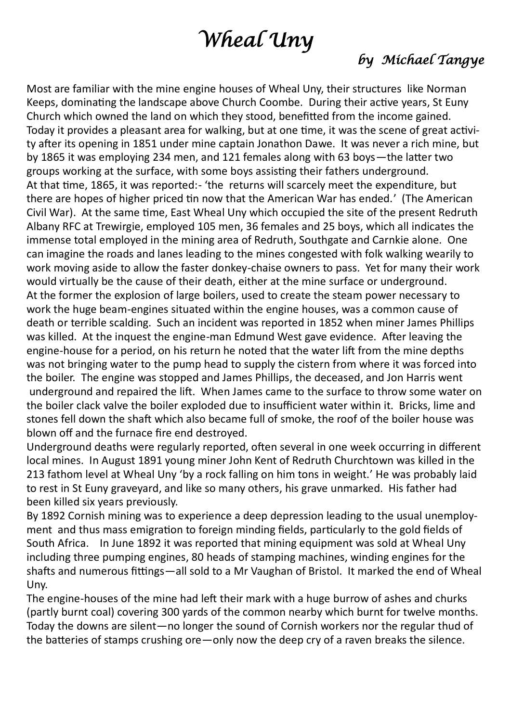## *Wheal Uny*

#### *by Michael Tangye*

Most are familiar with the mine engine houses of Wheal Uny, their structures like Norman Keeps, dominating the landscape above Church Coombe. During their active years, St Euny Church which owned the land on which they stood, benefitted from the income gained. Today it provides a pleasant area for walking, but at one time, it was the scene of great activity after its opening in 1851 under mine captain Jonathon Dawe. It was never a rich mine, but by 1865 it was employing 234 men, and 121 females along with 63 boys—the latter two groups working at the surface, with some boys assisting their fathers underground. At that time, 1865, it was reported:- 'the returns will scarcely meet the expenditure, but there are hopes of higher priced tin now that the American War has ended.' (The American Civil War). At the same time, East Wheal Uny which occupied the site of the present Redruth Albany RFC at Trewirgie, employed 105 men, 36 females and 25 boys, which all indicates the immense total employed in the mining area of Redruth, Southgate and Carnkie alone. One can imagine the roads and lanes leading to the mines congested with folk walking wearily to work moving aside to allow the faster donkey-chaise owners to pass. Yet for many their work would virtually be the cause of their death, either at the mine surface or underground. At the former the explosion of large boilers, used to create the steam power necessary to work the huge beam-engines situated within the engine houses, was a common cause of death or terrible scalding. Such an incident was reported in 1852 when miner James Phillips was killed. At the inquest the engine-man Edmund West gave evidence. After leaving the engine-house for a period, on his return he noted that the water lift from the mine depths was not bringing water to the pump head to supply the cistern from where it was forced into the boiler. The engine was stopped and James Phillips, the deceased, and Jon Harris went underground and repaired the lift. When James came to the surface to throw some water on the boiler clack valve the boiler exploded due to insufficient water within it. Bricks, lime and stones fell down the shaft which also became full of smoke, the roof of the boiler house was blown off and the furnace fire end destroyed.

Underground deaths were regularly reported, often several in one week occurring in different local mines. In August 1891 young miner John Kent of Redruth Churchtown was killed in the 213 fathom level at Wheal Uny 'by a rock falling on him tons in weight.' He was probably laid to rest in St Euny graveyard, and like so many others, his grave unmarked. His father had been killed six years previously.

By 1892 Cornish mining was to experience a deep depression leading to the usual unemployment and thus mass emigration to foreign minding fields, particularly to the gold fields of South Africa. In June 1892 it was reported that mining equipment was sold at Wheal Uny including three pumping engines, 80 heads of stamping machines, winding engines for the shafts and numerous fittings—all sold to a Mr Vaughan of Bristol. It marked the end of Wheal Uny.

The engine-houses of the mine had left their mark with a huge burrow of ashes and churks (partly burnt coal) covering 300 yards of the common nearby which burnt for twelve months. Today the downs are silent—no longer the sound of Cornish workers nor the regular thud of the batteries of stamps crushing ore—only now the deep cry of a raven breaks the silence.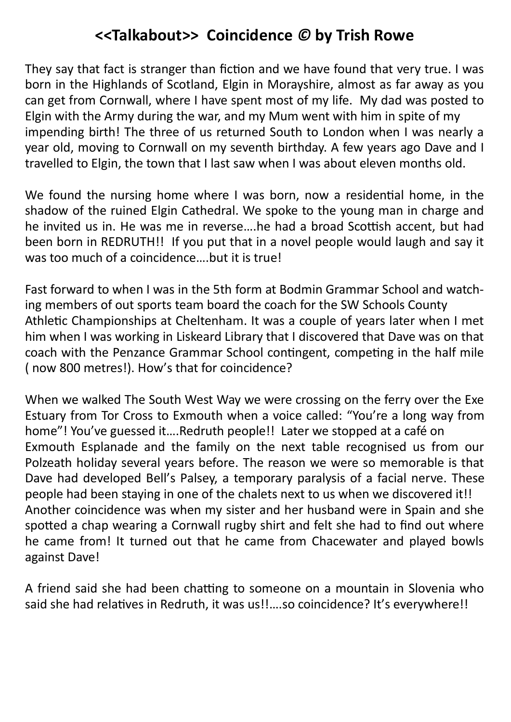#### **<<Talkabout>> Coincidence** *©* **by Trish Rowe**

They say that fact is stranger than fiction and we have found that very true. I was born in the Highlands of Scotland, Elgin in Morayshire, almost as far away as you can get from Cornwall, where I have spent most of my life. My dad was posted to Elgin with the Army during the war, and my Mum went with him in spite of my impending birth! The three of us returned South to London when I was nearly a year old, moving to Cornwall on my seventh birthday. A few years ago Dave and I travelled to Elgin, the town that I last saw when I was about eleven months old.

We found the nursing home where I was born, now a residential home, in the shadow of the ruined Elgin Cathedral. We spoke to the young man in charge and he invited us in. He was me in reverse….he had a broad Scottish accent, but had been born in REDRUTH!! If you put that in a novel people would laugh and say it was too much of a coincidence….but it is true!

Fast forward to when I was in the 5th form at Bodmin Grammar School and watching members of out sports team board the coach for the SW Schools County Athletic Championships at Cheltenham. It was a couple of years later when I met him when I was working in Liskeard Library that I discovered that Dave was on that coach with the Penzance Grammar School contingent, competing in the half mile ( now 800 metres!). How's that for coincidence?

When we walked The South West Way we were crossing on the ferry over the Exe Estuary from Tor Cross to Exmouth when a voice called: "You're a long way from home"! You've guessed it….Redruth people!! Later we stopped at a café on Exmouth Esplanade and the family on the next table recognised us from our Polzeath holiday several years before. The reason we were so memorable is that Dave had developed Bell's Palsey, a temporary paralysis of a facial nerve. These people had been staying in one of the chalets next to us when we discovered it!! Another coincidence was when my sister and her husband were in Spain and she spotted a chap wearing a Cornwall rugby shirt and felt she had to find out where he came from! It turned out that he came from Chacewater and played bowls against Dave!

A friend said she had been chatting to someone on a mountain in Slovenia who said she had relatives in Redruth, it was us!!….so coincidence? It's everywhere!!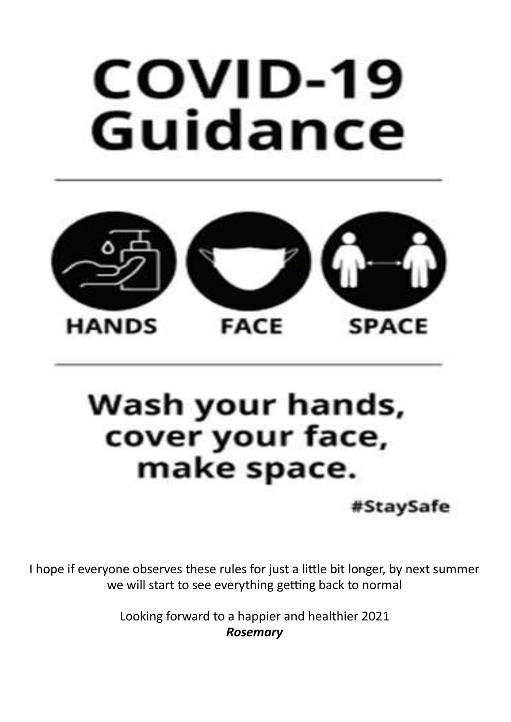# COVID-19 Guidance



## Wash your hands, cover your face, make space.

#StaySafe

I hope if everyone observes these rules for just a little bit longer, by next summer we will start to see everything getting back to normal

> Looking forward to a happier and healthier 2021 *Rosemary*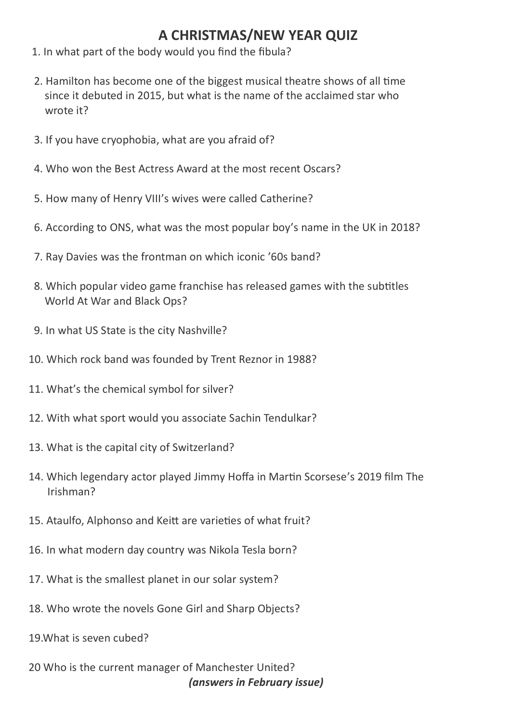#### **A CHRISTMAS/NEW YEAR QUIZ**

- 1. In what part of the body would you find the fibula?
- 2. Hamilton has become one of the biggest musical theatre shows of all time since it debuted in 2015, but what is the name of the acclaimed star who wrote it?
- 3. If you have cryophobia, what are you afraid of?
- 4. Who won the Best Actress Award at the most recent Oscars?
- 5. How many of Henry VIII's wives were called Catherine?
- 6. According to ONS, what was the most popular boy's name in the UK in 2018?
- 7. Ray Davies was the frontman on which iconic '60s band?
- 8. Which popular video game franchise has released games with the subtitles World At War and Black Ops?
- 9. In what US State is the city Nashville?
- 10. Which rock band was founded by Trent Reznor in 1988?
- 11. What's the chemical symbol for silver?
- 12. With what sport would you associate Sachin Tendulkar?
- 13. What is the capital city of Switzerland?
- 14. Which legendary actor played Jimmy Hoffa in Martin Scorsese's 2019 film The Irishman?
- 15. Ataulfo, Alphonso and Keitt are varieties of what fruit?
- 16. In what modern day country was Nikola Tesla born?
- 17. What is the smallest planet in our solar system?
- 18. Who wrote the novels Gone Girl and Sharp Objects?
- 19.What is seven cubed?
- 20 Who is the current manager of Manchester United? *(answers in February issue)*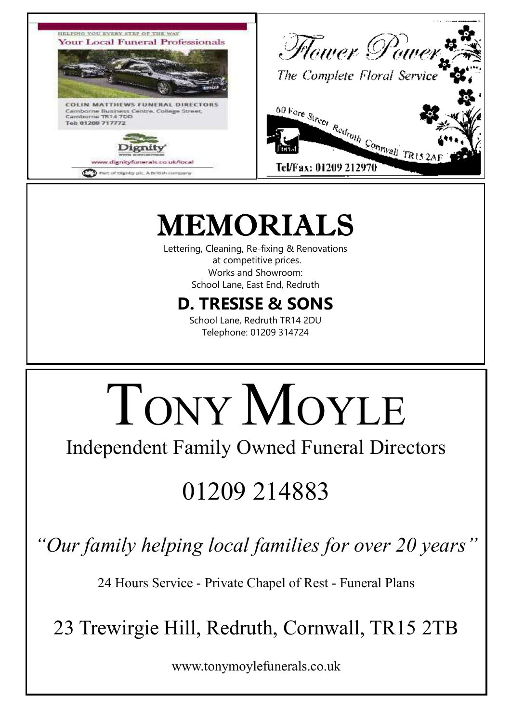

## MEMORIALS

Lettering, Cleaning, Re-fixing & Renovations at competitive prices. Works and Showroom: School Lane, East End, Redruth

### **D. TRESISE & SONS**

School Lane, Redruth TR14 2DU Telephone: 01209 314724

# TONY MOYLE

Independent Family Owned Funeral Directors

## 01209 214883

*"Our family helping local families for over 20 years"*

24 Hours Service - Private Chapel of Rest - Funeral Plans

23 Trewirgie Hill, Redruth, Cornwall, TR15 2TB

www.tonymoylefunerals.co.uk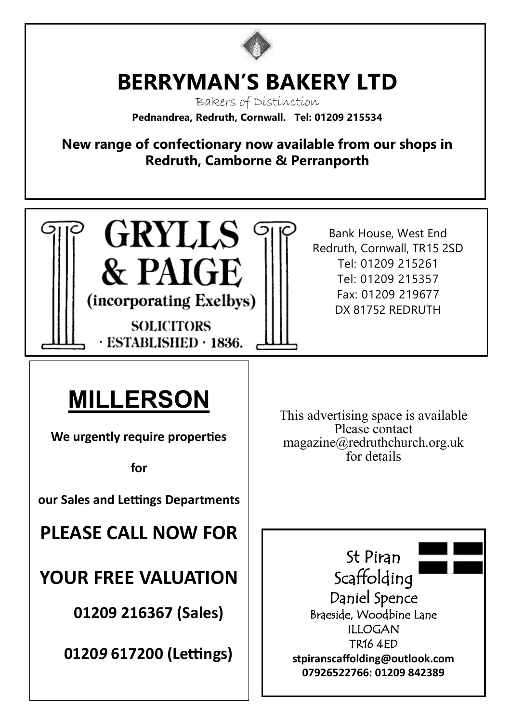

## **BERRYMAN'S BAKERY LTD**

Bakers of Distinction **Pednandrea, Redruth, Cornwall. Tel: 01209 215534**

**New range of confectionary now available from our shops in Redruth, Camborne & Perranporth**

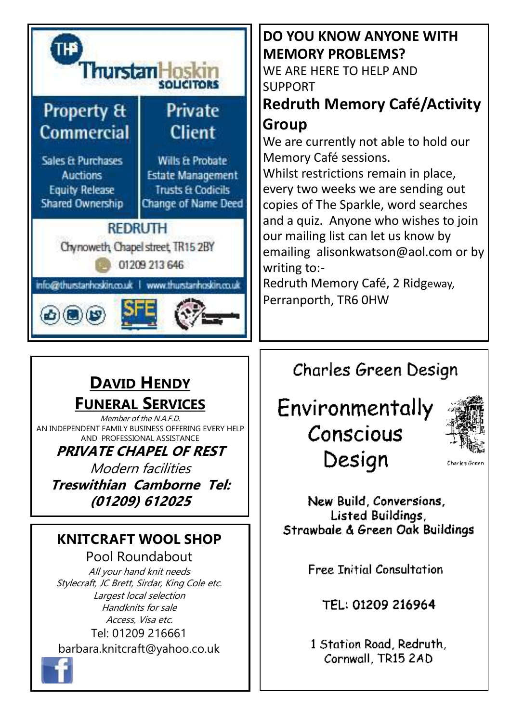

## **DO YOU KNOW ANYONE WITH MEMORY PROBLEMS?**

WE ARE HERE TO HELP AND SUPPORT

#### **Redruth Memory Café/Activity Group**

We are currently not able to hold our Memory Café sessions.

Whilst restrictions remain in place, every two weeks we are sending out copies of The Sparkle, word searches and a quiz. Anyone who wishes to join our mailing list can let us know by emailing alisonkwatson@aol.com or by writing to:-

Redruth Memory Café, 2 Ridgeway, Perranporth, TR6 0HW

### **DAVID HENDY FUNERAL SERVICES**

Member of the N.A.F.D. AN INDEPENDENT FAMILY BUSINESS OFFERING EVERY HELP AND PROFESSIONAL ASSISTANCE

**PRIVATE CHAPEL OF REST**

Modern facilities **Treswithian Camborne Tel: (01209) 612025**

#### **KNITCRAFT WOOL SHOP**

Pool Roundabout All your hand knit needs Stylecraft, JC Brett, Sirdar, King Cole etc. Largest local selection Handknits for sale Access, Visa etc. Tel: 01209 216661 barbara.knitcraft@yahoo.co.uk

Charles Green Design

## Environmentally Conscious Design



Charles Greet

New Build, Conversions, Listed Buildings, Strawbale & Green Oak Buildings

**Free Initial Consultation** 

TEL: 01209 216964

1 Station Road, Redruth, Cornwall, TR15 2AD

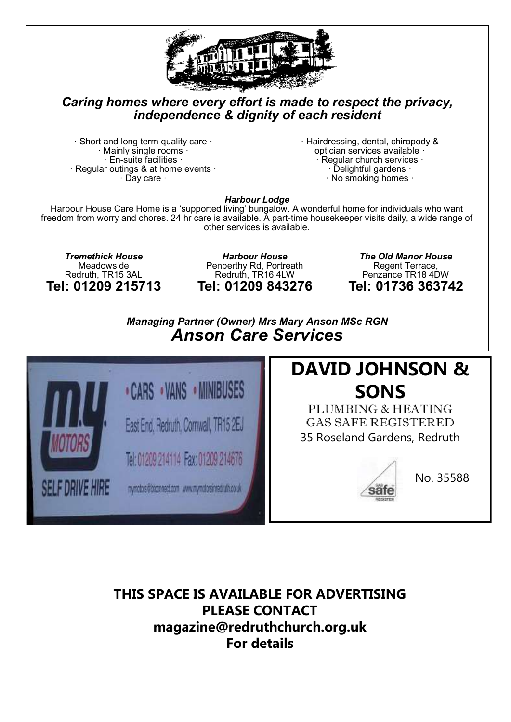

#### *Caring homes where every effort is made to respect the privacy, independence & dignity of each resident*

 $\cdot$  Short and long term quality care  $\cdot$ Mainly single rooms  $\cdot$  $\cdot$  En-suite facilities  $\cdot$  $\cdot$  Regular outings & at home events  $\cdot$ · Day care ·

· Hairdressing, dental, chiropody & optician services available · · Regular church services · Delightful gardens ·  $\cdot$  No smoking homes  $\cdot$ 

*Harbour Lodge*

Harbour House Care Home is a 'supported living' bungalow. A wonderful home for individuals who want freedom from worry and chores. 24 hr care is available. A part-time housekeeper visits daily, a wide range of other services is available.

*Tremethick House* Meadowside Redruth, TR15 3AL **Tel: 01209 215713**

*Harbour House* Penberthy Rd, Portreath Redruth, TR16 4LW **Tel: 01209 843276**

*The Old Manor House* Regent Terrace, Penzance TR18 4DW **Tel: 01736 363742**

*Managing Partner (Owner) Mrs Mary Anson MSc RGN Anson Care Services*



### **DAVID JOHNSON & SONS**

PLUMBING & HEATING GAS SAFE REGISTERED 35 Roseland Gardens, Redruth



No. 35588

**THIS SPACE IS AVAILABLE FOR ADVERTISING PLEASE CONTACT magazine@redruthchurch.org.uk For details**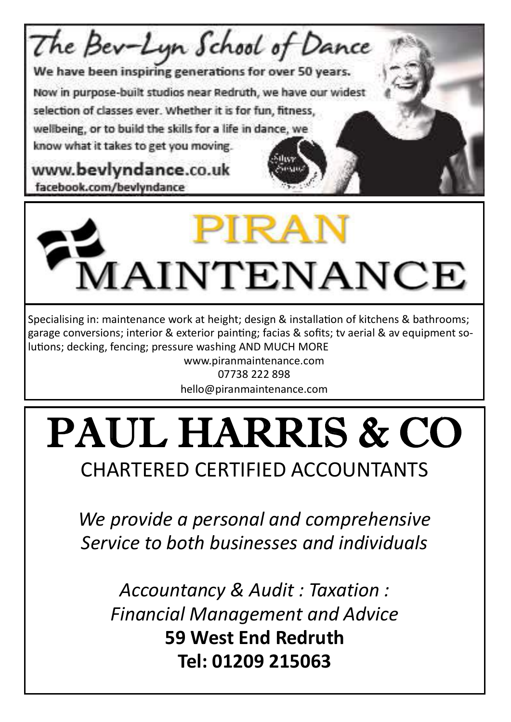



Specialising in: maintenance work at height; design & installation of kitchens & bathrooms; garage conversions; interior & exterior painting; facias & sofits; tv aerial & av equipment solutions; decking, fencing; pressure washing AND MUCH MORE

www.piranmaintenance.com 07738 222 898 hello@piranmaintenance.com

# PAUL HARRIS & CO

## CHARTERED CERTIFIED ACCOUNTANTS

*We provide a personal and comprehensive Service to both businesses and individuals*

*Accountancy & Audit : Taxation : Financial Management and Advice* **59 West End Redruth Tel: 01209 215063**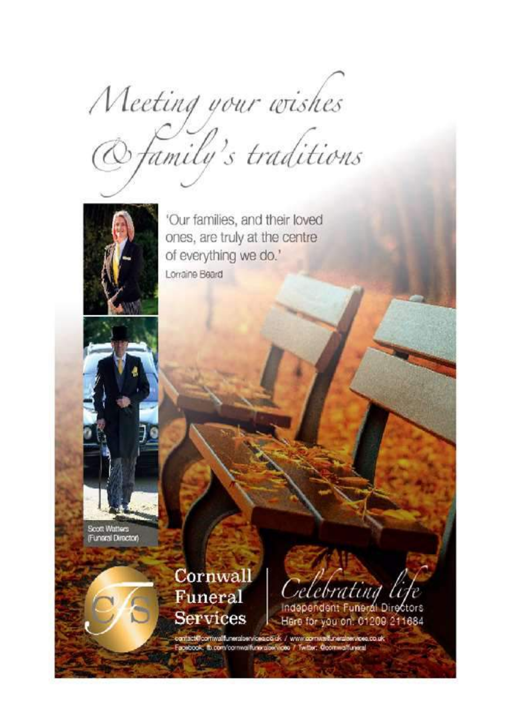Meeting your wishes<br>@family's traditions



'Our families, and their loved ones, are truly at the centre of everything we do.' Lorraine Beard

Scott Watters (Funeral Director)

> Cornwall Funeral **Services**

Celebrating life

Here for you on: 01209 211684

contact@comwalfunerabervicea.co.uk / www.comwalfuneralservicea.co.uk<br>Facebook: ib.com/comwalfuneralservicea / Twitter: Goomwalfuneral